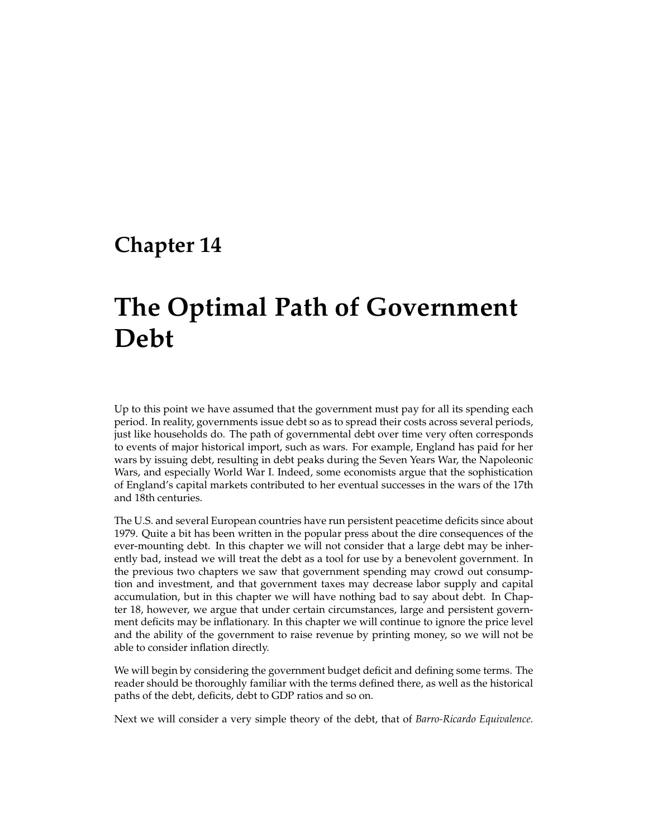# **Chapter 14**

# **The Optimal Path of Government Debt**

Up to this point we have assumed that the government must pay for all its spending each period. In reality, governments issue debt so as to spread their costs across several periods, just like households do. The path of governmental debt over time very often corresponds to events of major historical import, such as wars. For example, England has paid for her wars by issuing debt, resulting in debt peaks during the Seven Years War, the Napoleonic Wars, and especially World War I. Indeed, some economists argue that the sophistication of England's capital markets contributed to her eventual successes in the wars of the 17th and 18th centuries.

The U.S. and several European countries have run persistent peacetime deficits since about 1979. Quite a bit has been written in the popular press about the dire consequences of the ever-mounting debt. In this chapter we will not consider that a large debt may be inherently bad, instead we will treat the debt as a tool for use by a benevolent government. In the previous two chapters we saw that government spending may crowd out consumption and investment, and that government taxes may decrease labor supply and capital accumulation, but in this chapter we will have nothing bad to say about debt. In Chapter 18, however, we argue that under certain circumstances, large and persistent government deficits may be inflationary. In this chapter we will continue to ignore the price level and the ability of the government to raise revenue by printing money, so we will not be able to consider inflation directly.

We will begin by considering the government budget deficit and defining some terms. The reader should be thoroughly familiar with the terms defined there, as well as the historical paths of the debt, deficits, debt to GDP ratios and so on.

Next we will consider a very simple theory of the debt, that of *Barro-Ricardo Equivalence.*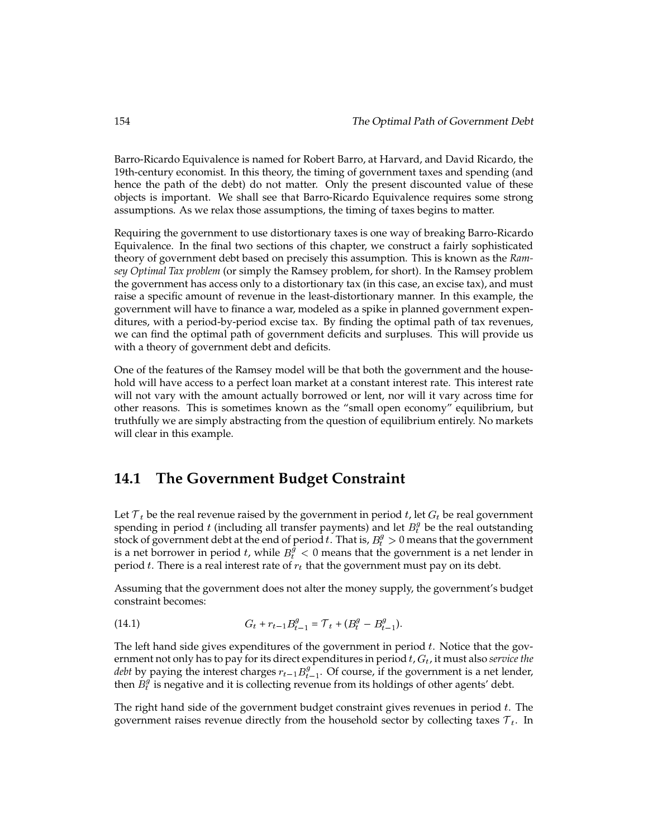Barro-Ricardo Equivalence is named for Robert Barro, at Harvard, and David Ricardo, the 19th-century economist. In this theory, the timing of government taxes and spending (and hence the path of the debt) do not matter. Only the present discounted value of these objects is important. We shall see that Barro-Ricardo Equivalence requires some strong assumptions. As we relax those assumptions, the timing of taxes begins to matter.

Requiring the government to use distortionary taxes is one way of breaking Barro-Ricardo Equivalence. In the final two sections of this chapter, we construct a fairly sophisticated theory of government debt based on precisely this assumption. This is known as the *Ramsey Optimal Tax problem* (or simply the Ramsey problem, for short). In the Ramsey problem the government has access only to a distortionary tax (in this case, an excise tax), and must raise a specific amount of revenue in the least-distortionary manner. In this example, the government will have to finance a war, modeled as a spike in planned government expenditures, with a period-by-period excise tax. By finding the optimal path of tax revenues, we can find the optimal path of government deficits and surpluses. This will provide us with a theory of government debt and deficits.

One of the features of the Ramsey model will be that both the government and the household will have access to a perfect loan market at a constant interest rate. This interest rate will not vary with the amount actually borrowed or lent, nor will it vary across time for other reasons. This is sometimes known as the "small open economy" equilibrium, but truthfully we are simply abstracting from the question of equilibrium entirely. No markets will clear in this example.

# **14.1 The Government Budget Constraint**

Let  ${\mathcal T}_t$  be the real revenue raised by the government in period  $t$ , let  $G_t$  be real government spending in period  $t$  (including all transfer payments) and let  $B_t^y$  be the real outstanding stock of government debt at the end of period t. That is,  $B_t^g > 0$  means that the government is a net borrower in period t, while  $B_t^{\tilde{g}} < 0$  means that the government is a net lender in period t. There is a real interest rate of  $r_t$  that the government must pay on its debt.

Assuming that the government does not alter the money supply, the government's budget constraint becomes:

(14.1) 
$$
G_t + r_{t-1} B_{t-1}^g = \mathcal{T}_t + (B_t^g - B_{t-1}^g).
$$

The left hand side gives expenditures of the government in period  $t$ . Notice that the government not only has to pay for its direct expenditures in period t,  $G_t$ , it must also *service the debt* by paying the interest charges  $r_{t-1}B_{t-1}^g$ . Of course, if the government is a net lender, then  $B_t^g$  is negative and it is collecting revenue from its holdings of other agents' debt.

The right hand side of the government budget constraint gives revenues in period  $t$ . The government raises revenue directly from the household sector by collecting taxes  ${\mathcal T}_t.$  In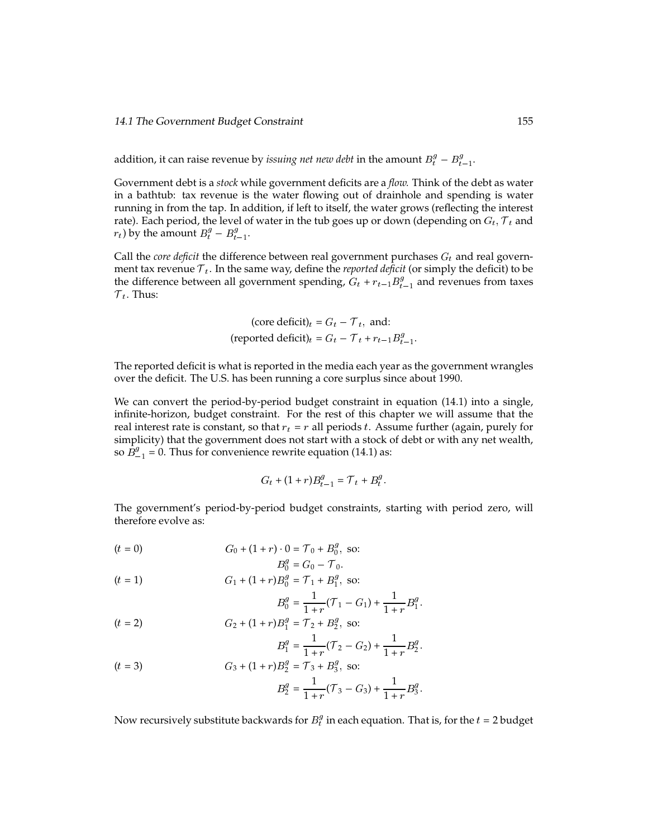addition, it can raise revenue by *issuing net new debt* in the amount  $B_t^{\,g} - B_{t-1}^{\,g}.$ 

Government debt is a *stock* while government deficits are a *flow.* Think of the debt as water in a bathtub: tax revenue is the water flowing out of drainhole and spending is water running in from the tap. In addition, if left to itself, the water grows (reflecting the interest rate). Each period, the level of water in the tub goes up or down (depending on  $G_t, {\mathcal T}_t$  and  $(r_t)$  by the amount  $B_t^y - B_{t-1}^y$ . t

Call the *core deficit* the difference between real government purchases  $G_t$  and real government tax revenue  ${\mathcal T}_t.$  In the same way, define the *reported deficit* (or simply the deficit) to be the difference between all government spending,  $G_t$  +  $r_{t-1}B_{t-1}^g$  and revenues from taxes  $\mathcal{T}_t$ . Thus:

$$
(\text{core deficit})_t = G_t - \mathcal{T}_t, \text{ and:}
$$

$$
(\text{reported deficit})_t = G_t - \mathcal{T}_t + r_{t-1} B_{t-1}^g.
$$

(reported deficit) $_t = G_t - {\mathcal T}_t + r_{t-1} B_{t-1}^g.$ <br>The reported deficit is what is reported in the media each year as the government wrangles over the deficit. The U.S. has been running a core surplus since about 1990.

We can convert the period-by-period budget constraint in equation (14.1) into a single, infinite-horizon, budget constraint. For the rest of this chapter we will assume that the real interest rate is constant, so that  $r_t = r$  all periods t. Assume further (again, purely for simplicity) that the government does not start with a stock of debt or with any net wealth, so  $B_{-1}^g = 0$ . Thus for convenience rewrite equation (14.1) as:

$$
G_t + (1+r)B_{t-1}^g = \mathcal{T}_t + B_t^g.
$$

The government's period-by-period budget constraints, starting with period zero, will therefore evolve as:

$$
(t = 0) \t G_0 + (1 + r) \t 0 = \mathcal{T}_0 + B_0^g, \text{ so:}
$$
  

$$
B_2^g = G_0 - \mathcal{T}_0
$$

$$
B_0^g = G_0 - \mathcal{T}_0.
$$
  
(t = 1) 
$$
G_1 + (1+r)B_0^g = \mathcal{T}_1 + B_1^g, \text{ so:}
$$

$$
B_0^g = \frac{1}{1+r}(\mathcal{T}_1 - G_1) + \frac{1}{1+r}B_1^g.
$$
  
(*t* = 2) 
$$
G_2 + (1+r)B_1^g = \mathcal{T}_2 + B_2^g, \text{ so:}
$$

$$
B_1^g = \frac{1}{1+r}(\mathcal{T}_2 - G_2) + \frac{1}{1+r}B_2^g.
$$

$$
(t = 3) \t G_3 + (1+r)B_2^g = T_3 + B_3^g, \text{ so:}
$$

$$
B_2^g = \frac{1}{1+r}(T_3 - G_3) + \frac{1}{1+r}B_3^g.
$$

Now recursively substitute backwards for  $B_t^y$  in each equation. That is, for the  $t$  = 2 budget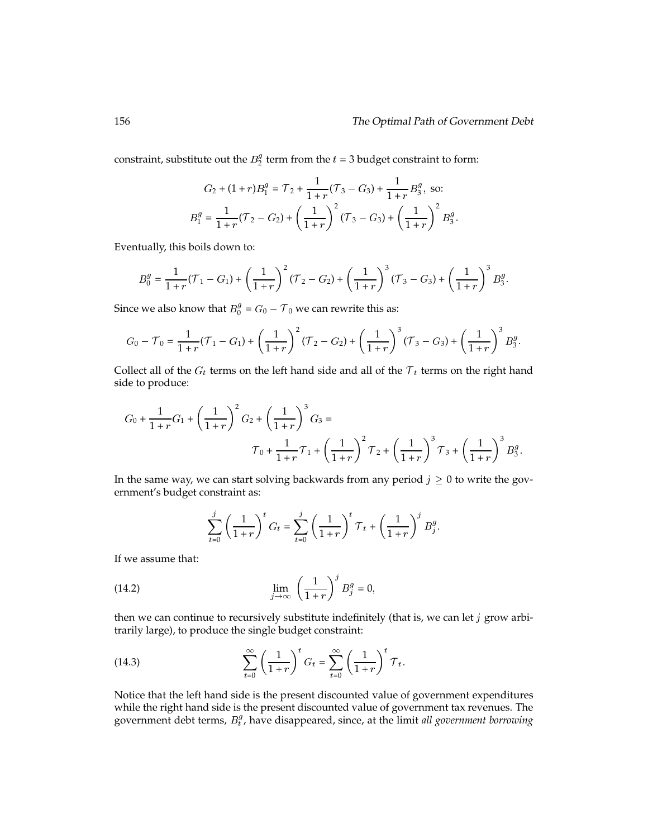constraint, substitute out the  $B_2^y$  term from the  $t = 3$  budget constraint to form:

$$
G_2 + (1+r)B_1^g = \mathcal{T}_2 + \frac{1}{1+r}(\mathcal{T}_3 - G_3) + \frac{1}{1+r}B_3^g, \text{ so:}
$$
  

$$
B_1^g = \frac{1}{1+r}(\mathcal{T}_2 - G_2) + \left(\frac{1}{1+r}\right)^2(\mathcal{T}_3 - G_3) + \left(\frac{1}{1+r}\right)^2 B_3^g.
$$

Eventually, this boils down to:

$$
B_0^g = \frac{1}{1+r}(T_1 - G_1) + \left(\frac{1}{1+r}\right)^2 (T_2 - G_2) + \left(\frac{1}{1+r}\right)^3 (T_3 - G_3) + \left(\frac{1}{1+r}\right)^3 B_3^g.
$$

Since we also know that 
$$
B_0^g = G_0 - T_0
$$
 we can rewrite this as:  
\n
$$
G_0 - T_0 = \frac{1}{1+r}(T_1 - G_1) + \left(\frac{1}{1+r}\right)^2 (T_2 - G_2) + \left(\frac{1}{1+r}\right)^3 (T_3 - G_3) + \left(\frac{1}{1+r}\right)^3 B_3^g.
$$
\nCollect all of the  $G_t$  terms on the left hand side and all of the  $T_t$  terms on the right hand

side to produce:

$$
G_0 + \frac{1}{1+r}G_1 + \left(\frac{1}{1+r}\right)^2 G_2 + \left(\frac{1}{1+r}\right)^3 G_3 =
$$
  

$$
\mathcal{T}_0 + \frac{1}{1+r}\mathcal{T}_1 + \left(\frac{1}{1+r}\right)^2 \mathcal{T}_2 + \left(\frac{1}{1+r}\right)^3 \mathcal{T}_3 + \left(\frac{1}{1+r}\right)^3 B_3^g.
$$

In the same way, we can start solving backwards from any period  $j\geq 0$  to write the government's budget constraint as:

$$
\sum_{t=0}^{j} \left(\frac{1}{1+r}\right)^{t} G_{t} = \sum_{t=0}^{j} \left(\frac{1}{1+r}\right)^{t} \mathcal{T}_{t} + \left(\frac{1}{1+r}\right)^{j} B_{j}^{g}.
$$

If we assume that:

(14.2) 
$$
\lim_{j \to \infty} \left( \frac{1}{1+r} \right)^j B_j^g = 0,
$$

then we can continue to recursively substitute indefinitely (that is, we can let  $j$  grow arbitrarily large), to produce the single budget constraint:

(14.3) 
$$
\sum_{t=0}^{\infty} \left(\frac{1}{1+r}\right)^t G_t = \sum_{t=0}^{\infty} \left(\frac{1}{1+r}\right)^t \mathcal{T}_t.
$$

Notice that the left hand side is the present discounted value of government expenditures while the right hand side is the present discounted value of government tax revenues. The government debt terms*, B* $^y_t$ *,* have disappeared*,* since, at the limit *all government borrowing*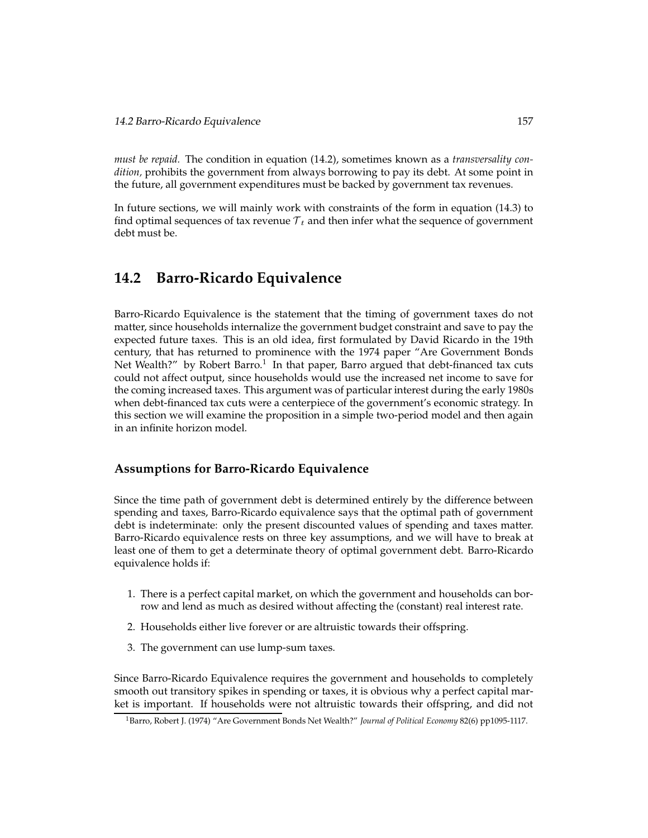*must be repaid.* The condition in equation (14.2), sometimes known as a *transversality condition,* prohibits the government from always borrowing to pay its debt. At some point in the future, all government expenditures must be backed by government tax revenues.

In future sections, we will mainly work with constraints of the form in equation (14.3) to find optimal sequences of tax revenue  ${\mathcal T}_t$  and then infer what the sequence of government debt must be.

# **14.2 Barro-Ricardo Equivalence**

Barro-Ricardo Equivalence is the statement that the timing of government taxes do not matter, since households internalize the government budget constraint and save to pay the expected future taxes. This is an old idea, first formulated by David Ricardo in the 19th century, that has returned to prominence with the 1974 paper "Are Government Bonds Net Wealth?" by Robert Barro.<sup>1</sup> In that paper, Barro argued that debt-financed tax cuts could not affect output, since households would use the increased net income to save for the coming increased taxes. This argument was of particular interest during the early 1980s when debt-financed tax cuts were a centerpiece of the government's economic strategy. In this section we will examine the proposition in a simple two-period model and then again in an infinite horizon model.

#### **Assumptions for Barro-Ricardo Equivalence**

Since the time path of government debt is determined entirely by the difference between spending and taxes, Barro-Ricardo equivalence says that the optimal path of government debt is indeterminate: only the present discounted values of spending and taxes matter. Barro-Ricardo equivalence rests on three key assumptions, and we will have to break at least one of them to get a determinate theory of optimal government debt. Barro-Ricardo equivalence holds if:

- 1. There is a perfect capital market, on which the government and households can borrow and lend as much as desired without affecting the (constant) real interest rate.
- 2. Households either live forever or are altruistic towards their offspring.
- 3. The government can use lump-sum taxes.

Since Barro-Ricardo Equivalence requires the government and households to completely smooth out transitory spikes in spending or taxes, it is obvious why a perfect capital market is important. If households were not altruistic towards their offspring, and did not

<sup>1</sup>Barro, Robert J. (1974) "Are Government Bonds Net Wealth?" *Journal of Political Economy* 82(6) pp1095-1117.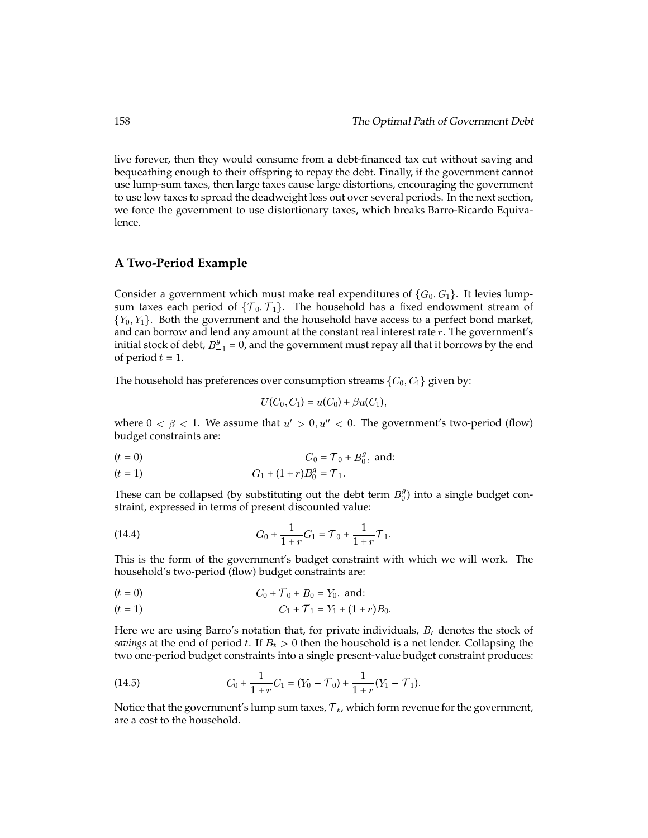live forever, then they would consume from a debt-financed tax cut without saving and bequeathing enough to their offspring to repay the debt. Finally, if the government cannot use lump-sum taxes, then large taxes cause large distortions, encouraging the government to use low taxes to spread the deadweight loss out over several periods. In the next section, we force the government to use distortionary taxes, which breaks Barro-Ricardo Equivalence.

#### **A Two-Period Example**

Consider a government which must make real expenditures of  $\{G_0, G_1\}$ . It levies lumpsum taxes each period of  $\{\mathcal{T}_0, \mathcal{T}_1\}$ . The household has a fixed endowment stream of  ${Y_0, Y_1}$ . Both the government and the household have access to a perfect bond market, and can borrow and lend any amount at the constant real interest rate  $r$ . The government's initial stock of debt,  $B_{-1}^g = 0$ , and the government must repay all that it borrows by the end of period  $t = 1$ .

The household has preferences over consumption streams  $\{C_0, C_1\}$  given by:

$$
U(C_0, C_1) = u(C_0) + \beta u(C_1),
$$

where  $0 < \beta < 1$ . We assume that  $u' > 0$ ,  $u'' < 0$ . The government's two-period (flow) budget constraints are:

$$
(t=0) \t G_0 = \mathcal{T}_0 + B_0^g, \text{ and:}
$$

$$
(t = 1) \t G_1 + (1 + r)B_0^g = \mathcal{T}_1.
$$

These can be collapsed (by substituting out the debt term  $B_0^y$ ) into a single budget constraint, expressed in terms of present discounted value:

(14.4) 
$$
G_0 + \frac{1}{1+r} G_1 = \mathcal{T}_0 + \frac{1}{1+r} \mathcal{T}_1.
$$

This is the form of the government's budget constraint with which we will work. The household's two-period (flow) budget constraints are:

$$
(t = 0) \t C_0 + \mathcal{T}_0 + B_0 = Y_0, \text{ and:}
$$

$$
(t = 1) \t C_1 + \mathcal{T}_1 = Y_1 + (1 + r)B_0.
$$

Here we are using Barro's notation that, for private individuals,  $B_t$  denotes the stock of *savings* at the end of period t. If  $B_t > 0$  then the household is a net lender. Collapsing the two one-period budget constraints into a single present-value budget constraint produces:

(14.5) 
$$
C_0 + \frac{1}{1+r}C_1 = (Y_0 - T_0) + \frac{1}{1+r}(Y_1 - T_1).
$$
  
Notice that the government's lump sum taxes,  $T_t$ , which form revenue for the government,

are a cost to the household.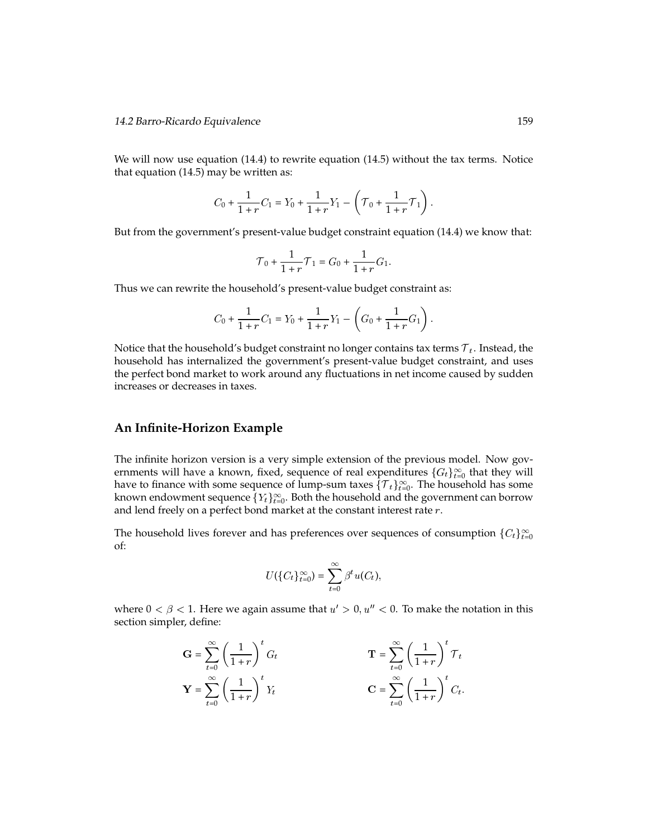We will now use equation (14.4) to rewrite equation (14.5) without the tax terms. Notice that equation (14.5) may be written as:

$$
C_0 + \frac{1}{1+r}C_1 = Y_0 + \frac{1}{1+r}Y_1 - \left(\mathcal{T}_0 + \frac{1}{1+r}\mathcal{T}_1\right).
$$

But from the government's present-value budget constraint equation (14.4) we know that:

$$
T_0 + \frac{1}{1+r}T_1 = G_0 + \frac{1}{1+r}G_1.
$$

Thus we can rewrite the household's present-value budget constraint as:

$$
C_0 + \frac{1}{1+r}C_1 = Y_0 + \frac{1}{1+r}Y_1 - \left(G_0 + \frac{1}{1+r}G_1\right).
$$

Notice that the household's budget constraint no longer contains tax terms  ${\mathcal T}_t.$  Instead, the household has internalized the government's present-value budget constraint, and uses the perfect bond market to work around any fluctuations in net income caused by sudden increases or decreases in taxes.

#### **An Infinite-Horizon Example**

The infinite horizon version is a very simple extension of the previous model. Now governments will have a known, fixed, sequence of real expenditures  $\{G_t\}_{t=0}^\infty$  that they will have to finance with some sequence of lump-sum taxes  $\{{\mathcal T}_t\}_{t=0}^\infty.$  The household has some known endowment sequence  $\{Y_t\}_{t=0}^\infty.$  Both the household and the government can borrow and lend freely on a perfect bond market at the constant interest rate  $r$ .

The household lives forever and has preferences over sequences of consumption  $\{C_t\}_{t=0}^\infty$ of:

$$
U(\lbrace C_t \rbrace_{t=0}^{\infty}) = \sum_{t=0}^{\infty} \beta^t u(C_t),
$$

where  $0 < \beta < 1$ . Here we again assume that  $u' > 0$ ,  $u'' < 0$ . To make the notation in this section simpler, define:

$$
\mathbf{G} = \sum_{t=0}^{\infty} \left(\frac{1}{1+r}\right)^t G_t \qquad \qquad \mathbf{T} = \sum_{t=0}^{\infty} \left(\frac{1}{1+r}\right)^t T_t
$$

$$
\mathbf{Y} = \sum_{t=0}^{\infty} \left(\frac{1}{1+r}\right)^t Y_t \qquad \qquad \mathbf{C} = \sum_{t=0}^{\infty} \left(\frac{1}{1+r}\right)^t C_t.
$$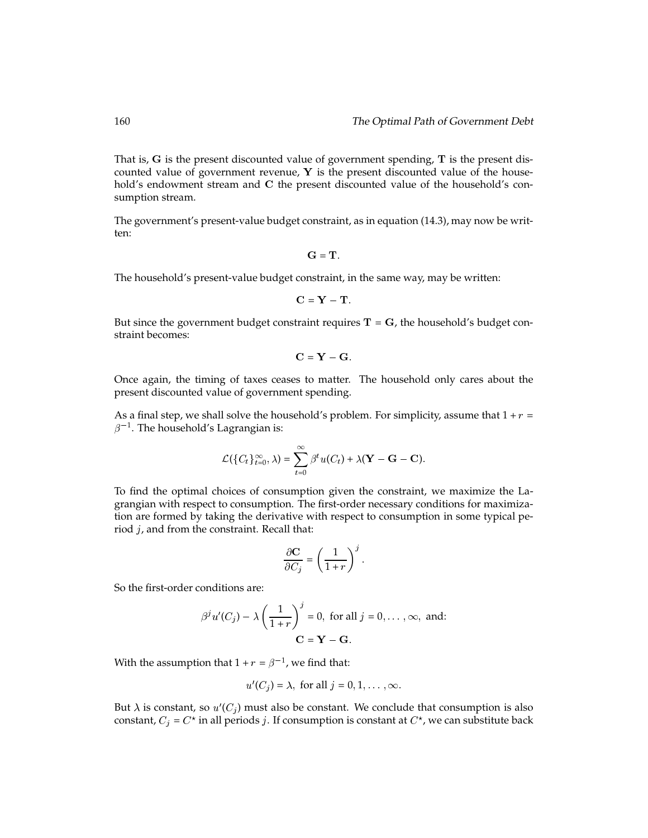That is,  $G$  is the present discounted value of government spending,  $T$  is the present discounted value of government revenue,  $Y$  is the present discounted value of the household's endowment stream and <sup>C</sup> the present discounted value of the household's consumption stream.

The government's present-value budget constraint, as in equation (14.3), may now be written:

 $G = T$ 

The household's present-value budget constraint, in the same way, may be written:

$$
C = Y - T
$$

But since the government budget constraint requires  $T = G$ , the household's budget constraint becomes:

$$
C = Y - G
$$

Once again, the timing of taxes ceases to matter. The household only cares about the present discounted value of government spending.

As a final step, we shall solve the household's problem. For simplicity, assume that  $1 + r =$  $\beta^{-1}$ . The household's Lagrangian is:

$$
\mathcal{L}(\{C_t\}_{t=0}^{\infty},\lambda)=\sum_{t=0}^{\infty}\beta^tu(C_t)+\lambda(\mathbf{Y}-\mathbf{G}-\mathbf{C}).
$$

To find the optimal choices of consumption given the constraint, we maximize the Lagrangian with respect to consumption. The first-order necessary conditions for maximization are formed by taking the derivative with respect to consumption in some typical period <sup>j</sup>, and from the constraint. Recall that:

$$
\frac{\partial \mathbf{C}}{\partial C_j} = \left(\frac{1}{1+r}\right)^j.
$$

So the first-order conditions are:

$$
\beta^{j}u'(C_{j}) - \lambda \left(\frac{1}{1+r}\right)^{j} = 0, \text{ for all } j = 0, \ldots, \infty, \text{ and:}
$$

$$
\mathbf{C} = \mathbf{Y} - \mathbf{G}.
$$

With the assumption that  $1 + r = \beta^{-1}$ , we find that:

$$
u'(C_j) = \lambda
$$
, for all  $j = 0, 1, \ldots, \infty$ .

But  $\lambda$  is constant, so  $u'(C_j)$  must also be constant. We conclude that consumption is also constant,  $C_j = C^{\star}$  in all periods j. If consumption is constant at  $C^{\star}$ , we can substitute back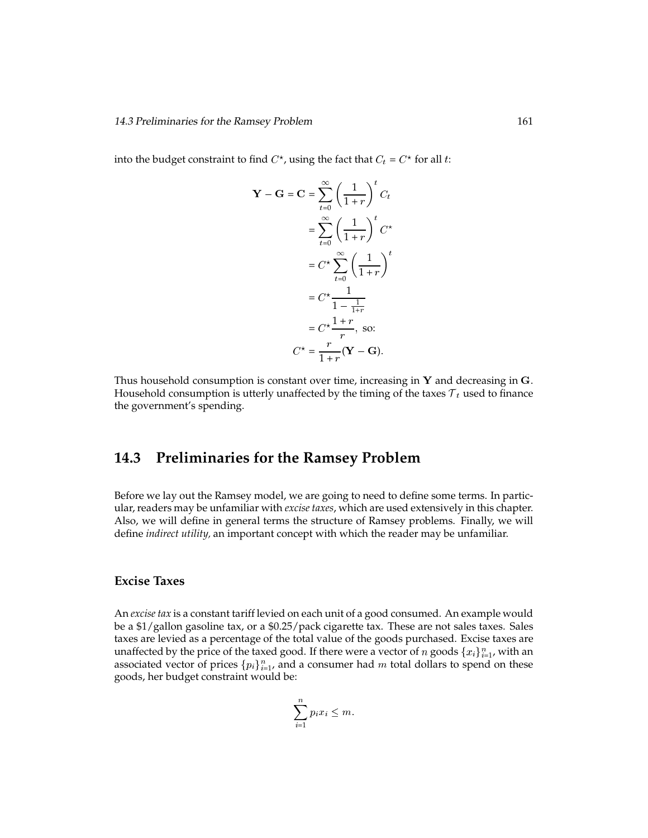into the budget constraint to find  $C^{\star}$ , using the fact that  $C_t$  =  $C^{\star}$  for all  $t$ :

$$
\mathbf{Y} - \mathbf{G} = \mathbf{C} = \sum_{t=0}^{\infty} \left(\frac{1}{1+r}\right)^t C_t
$$

$$
= \sum_{t=0}^{\infty} \left(\frac{1}{1+r}\right)^t C^*
$$

$$
= C^* \sum_{t=0}^{\infty} \left(\frac{1}{1+r}\right)^t
$$

$$
= C^* \frac{1}{1 - \frac{1}{1+r}}
$$

$$
= C^* \frac{1+r}{r}, \text{ so:}
$$

$$
C^* = \frac{r}{1+r} (\mathbf{Y} - \mathbf{G}).
$$

Thus household consumption is constant over time, increasing in  $Y$  and decreasing in  $G$ . Household consumption is utterly unaffected by the timing of the taxes  ${\mathcal T}_t$  used to finance the government's spending.

## **14.3 Preliminaries for the Ramsey Problem**

Before we lay out the Ramsey model, we are going to need to define some terms. In particular, readers may be unfamiliar with *excise taxes*, which are used extensively in this chapter. Also, we will define in general terms the structure of Ramsey problems. Finally, we will define *indirect utility,* an important concept with which the reader may be unfamiliar.

#### **Excise Taxes**

An *excise tax* is a constant tariff levied on each unit of a good consumed. An example would be a \$1/gallon gasoline tax, or a \$0.25/pack cigarette tax. These are not sales taxes. Sales taxes are levied as a percentage of the total value of the goods purchased. Excise taxes are unaffected by the price of the taxed good. If there were a vector of  $n$  goods  $\{x_i\}_{i=1}^n$ , with an associated vector of prices  $\{p_i\}_{i=1}^n$ , and a consumer had  $m$  total dollars to spend on these goods, her budget constraint would be:

$$
\sum_{i=1}^{n} p_i x_i \leq m.
$$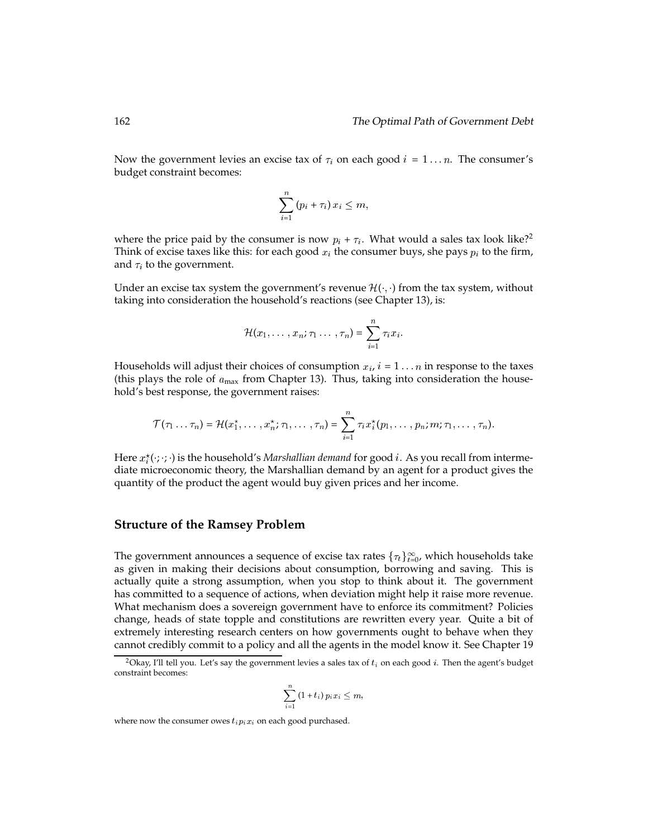Now the government levies an excise tax of  $\tau_i$  on each good  $i = 1 \dots n$ . The consumer's budget constraint becomes:

$$
\sum_{i=1}^n \left( p_i + \tau_i \right) x_i \leq m,
$$

where the price paid by the consumer is now  $p_i + \tau_i$ . What would a sales tax look like?<sup>2</sup> Think of excise taxes like this: for each good  $x_i$  the consumer buys, she pays  $p_i$  to the firm, and  $\tau_i$  to the government.

Under an excise tax system the government's revenue  $\mathcal{H}(\cdot,\cdot)$  from the tax system, without taking into consideration the household's reactions (see Chapter 13), is:

$$
\mathcal{H}(x_1,\ldots,x_n;\tau_1\ldots,\tau_n)=\sum_{i=1}^n\tau_ix_i.
$$

Households will adjust their choices of consumption  $x_i$ ,  $i = 1 \ldots n$  in response to the taxes (this plays the role of  $a_{\text{max}}$  from Chapter 13). Thus, taking into consideration the household's best response, the government raises:

$$
\mathcal{T}(\tau_1 \ldots \tau_n) = \mathcal{H}(x_1^*, \ldots, x_n^*; \tau_1, \ldots, \tau_n) = \sum_{i=1}^n \tau_i x_i^*(p_1, \ldots, p_n; m; \tau_1, \ldots, \tau_n).
$$

Here  $x_i^\star(\cdot;\cdot)$  is the household's *Marshallian demand* for good  $i.$  As you recall from intermediate microeconomic theory, the Marshallian demand by an agent for a product gives the quantity of the product the agent would buy given prices and her income.

#### **Structure of the Ramsey Problem**

The government announces a sequence of excise tax rates  $\{\tau_t\}_{t=0}^\infty$ , which households take as given in making their decisions about consumption, borrowing and saving. This is actually quite a strong assumption, when you stop to think about it. The government has committed to a sequence of actions, when deviation might help it raise more revenue. What mechanism does a sovereign government have to enforce its commitment? Policies change, heads of state topple and constitutions are rewritten every year. Quite a bit of extremely interesting research centers on how governments ought to behave when they cannot credibly commit to a policy and all the agents in the model know it. See Chapter 19

$$
\sum_{i=1}^n (1+t_i) p_i x_i \leq m,
$$

where now the consumer owes  $t_i p_i x_i$  on each good purchased.

<sup>&</sup>lt;sup>2</sup>Okay, I'll tell you. Let's say the government levies a sales tax of  $t_i$  on each good i. Then the agent's budget constraint becomes: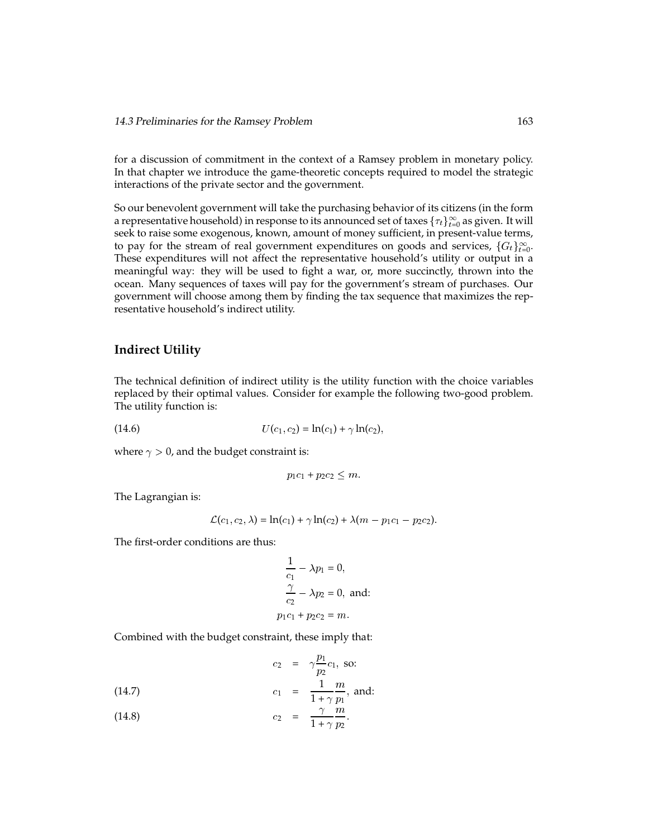for a discussion of commitment in the context of a Ramsey problem in monetary policy. In that chapter we introduce the game-theoretic concepts required to model the strategic interactions of the private sector and the government.

So our benevolent government will take the purchasing behavior of its citizens (in the form a representative household) in response to its announced set of taxes  $\{\tau_t\}_{t=0}^\infty$  as given. It will seek to raise some exogenous, known, amount of money sufficient, in present-value terms, to pay for the stream of real government expenditures on goods and services,  $\{G_t\}_{t=0}^\infty.$ These expenditures will not affect the representative household's utility or output in a meaningful way: they will be used to fight a war, or, more succinctly, thrown into the ocean. Many sequences of taxes will pay for the government's stream of purchases. Our government will choose among them by finding the tax sequence that maximizes the representative household's indirect utility.

### **Indirect Utility**

The technical definition of indirect utility is the utility function with the choice variables replaced by their optimal values. Consider for example the following two-good problem. The utility function is:

(14.6) 
$$
U(c_1, c_2) = \ln(c_1) + \gamma \ln(c_2),
$$

where  $\gamma > 0$ , and the budget constraint is:

$$
p_1c_1 + p_2c_2 \leq m.
$$

The Lagrangian is:

$$
\mathcal{L}(c_1, c_2, \lambda) = \ln(c_1) + \gamma \ln(c_2) + \lambda(m - p_1c_1 - p_2c_2).
$$

The first-order conditions are thus:

$$
\frac{1}{c_1} - \lambda p_1 = 0,
$$
  

$$
\frac{\gamma}{c_2} - \lambda p_2 = 0, \text{ and:}
$$
  

$$
p_1c_1 + p_2c_2 = m.
$$

Combined with the budget constraint, these imply that:

(14.7) 
$$
c_2 = \gamma \frac{p_1}{p_2} c_1, \text{ so:}
$$

$$
c_1 = \frac{1}{1 + \gamma} \frac{m}{p_1}, \text{ and:}
$$

$$
c_2 = \frac{\gamma}{1 + \gamma} \frac{m}{m}.
$$

$$
c_2 - \overline{1 + \gamma p_2}.
$$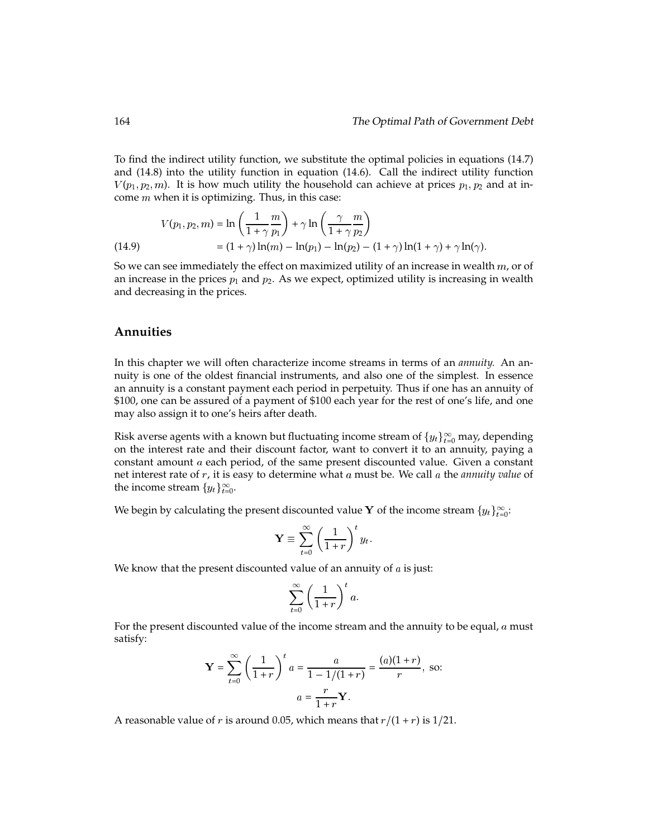To find the indirect utility function, we substitute the optimal policies in equations (14.7) and (14.8) into the utility function in equation (14.6). Call the indirect utility function  $V(p_1, p_2, m)$ . It is how much utility the household can achieve at prices  $p_1, p_2$  and at income  $m$  when it is optimizing. Thus, in this case:

(14.9) 
$$
V(p_1, p_2, m) = \ln \left( \frac{1}{1 + \gamma} \frac{m}{p_1} \right) + \gamma \ln \left( \frac{\gamma}{1 + \gamma} \frac{m}{p_2} \right)
$$

$$
= (1 + \gamma) \ln(m) - \ln(p_1) - \ln(p_2) - (1 + \gamma) \ln(1 + \gamma) + \gamma \ln(\gamma).
$$

So we can see immediately the effect on maximized utility of an increase in wealth  $m$ , or of an increase in the prices  $p_1$  and  $p_2$ . As we expect, optimized utility is increasing in wealth and decreasing in the prices.

#### **Annuities**

In this chapter we will often characterize income streams in terms of an *annuity.* An annuity is one of the oldest financial instruments, and also one of the simplest. In essence an annuity is a constant payment each period in perpetuity. Thus if one has an annuity of \$100, one can be assured of a payment of \$100 each year for the rest of one's life, and one may also assign it to one's heirs after death.

Risk averse agents with a known but fluctuating income stream of  $\{y_t\}_{t=0}^\infty$  may, depending on the interest rate and their discount factor, want to convert it to an annuity, paying a constant amount <sup>a</sup> each period, of the same present discounted value. Given a constant net interest rate of <sup>r</sup>, it is easy to determine what <sup>a</sup> must be. We call <sup>a</sup> the *annuity value* of the income stream  $\{y_t\}_{t=0}^\infty$ .

We begin by calculating the present discounted value  $\bf{Y}$  of the income stream  $\{y_t\}_{t=0}^\infty$ :

$$
\mathbf{Y} \equiv \sum_{t=0}^{\infty} \left( \frac{1}{1+r} \right)^t y_t.
$$

We know that the present discounted value of an annuity of  $a$  is just:

$$
\sum_{t=0}^{\infty} \left(\frac{1}{1+r}\right)^t a.
$$

For the present discounted value of the income stream and the annuity to be equal,  $a$  must satisfy:

$$
\mathbf{Y} = \sum_{t=0}^{\infty} \left( \frac{1}{1+r} \right)^t a = \frac{a}{1-1/(1+r)} = \frac{(a)(1+r)}{r}, \text{ so:}
$$

$$
a = \frac{r}{1+r} \mathbf{Y}.
$$

A reasonable value of r is around 0.05, which means that  $r/(1 + r)$  is 1/21.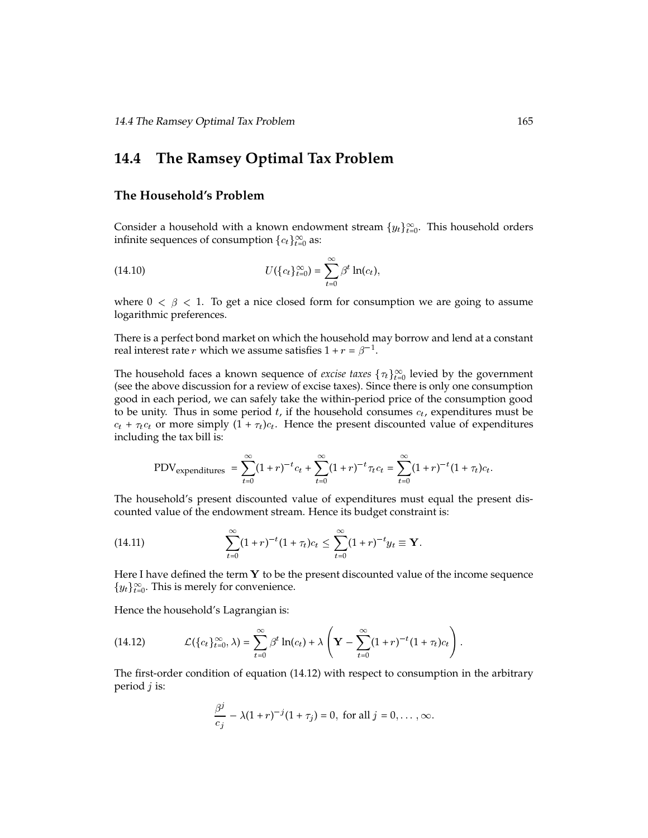# **14.4 The Ramsey Optimal Tax Problem**

#### **The Household's Problem**

Consider a household with a known endowment stream  $\{y_t\}_{t=0}^\infty$ . This household orders infinite sequences of consumption  $\{c_t\}_{t=0}^\infty$  as:

(14.10) 
$$
U(\{c_t\}_{t=0}^{\infty}) = \sum_{t=0}^{\infty} \beta^t \ln(c_t),
$$

where  $0 < \beta < 1$ . To get a nice closed form for consumption we are going to assume logarithmic preferences.

There is a perfect bond market on which the household may borrow and lend at a constant real interest rate *r* which we assume satisfies  $1 + r = \beta^{-1}$ .

The household faces a known sequence of *excise taxes*  $\{\tau_t\}_{t=0}^\infty$  levied by the government (see the above discussion for a review of excise taxes). Since there is only one consumption good in each period, we can safely take the within-period price of the consumption good to be unity. Thus in some period  $t$ , if the household consumes  $c_t$ , expenditures must be  $c_t$  +  $\tau_t c_t$  or more simply  $(1 + \tau_t)c_t$ . Hence the present discounted value of expenditures including the tax bill is:

$$
PDV_{\text{expenditures}} = \sum_{t=0}^{\infty} (1+r)^{-t} c_t + \sum_{t=0}^{\infty} (1+r)^{-t} \tau_t c_t = \sum_{t=0}^{\infty} (1+r)^{-t} (1+\tau_t) c_t.
$$

The household's present discounted value of expenditures must equal the present discounted value of the endowment stream. Hence its budget constraint is:

(14.11) 
$$
\sum_{t=0}^{\infty} (1+r)^{-t} (1+\tau_t)c_t \leq \sum_{t=0}^{\infty} (1+r)^{-t} y_t \equiv \mathbf{Y}.
$$

Here I have defined the term  $Y$  to be the present discounted value of the income sequence  $\{y_t\}_{t=0}^{\infty}$ . This is merely for convenience.

Hence the household's Lagrangian is:

(14.12) 
$$
\mathcal{L}(\lbrace c_t \rbrace_{t=0}^{\infty}, \lambda) = \sum_{t=0}^{\infty} \beta^t \ln(c_t) + \lambda \left( \mathbf{Y} - \sum_{t=0}^{\infty} (1+r)^{-t} (1+\tau_t) c_t \right).
$$

The first-order condition of equation (14.12) with respect to consumption in the arbitrary period <sup>j</sup> is:

$$
\frac{\beta^j}{c_j}-\lambda(1+r)^{-j}(1+\tau_j)=0, \text{ for all } j=0,\ldots,\infty.
$$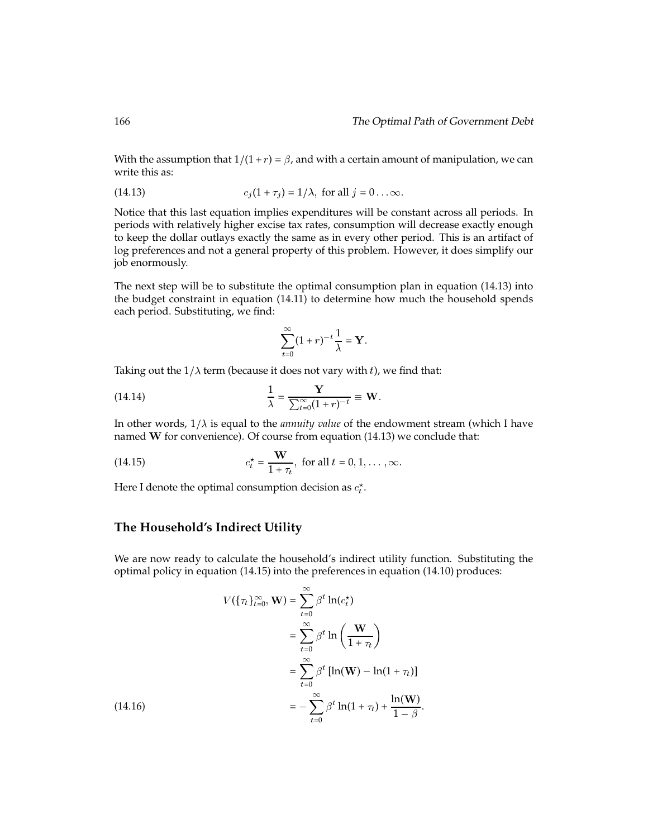With the assumption that  $1/(1 + r) = \beta$ , and with a certain amount of manipulation, we can write this as:

(14.13) 
$$
c_j(1 + \tau_j) = 1/\lambda
$$
, for all  $j = 0 ... \infty$ .

Notice that this last equation implies expenditures will be constant across all periods. In periods with relatively higher excise tax rates, consumption will decrease exactly enough to keep the dollar outlays exactly the same as in every other period. This is an artifact of log preferences and not a general property of this problem. However, it does simplify our job enormously.

The next step will be to substitute the optimal consumption plan in equation (14.13) into the budget constraint in equation (14.11) to determine how much the household spends each period. Substituting, we find:

$$
\sum_{t=0}^{\infty} (1+r)^{-t} \frac{1}{\lambda} = \mathbf{Y}.
$$

Taking out the  $1/\lambda$  term (because it does not vary with t), we find that:

(14.14) 
$$
\frac{1}{\lambda} = \frac{\mathbf{Y}}{\sum_{t=0}^{\infty} (1+r)^{-t}} \equiv \mathbf{W}.
$$

In other words,  $1/\lambda$  is equal to the *annuity value* of the endowment stream (which I have named <sup>W</sup> for convenience). Of course from equation (14.13) we conclude that:

(14.15) 
$$
c_t^* = \frac{\mathbf{W}}{1 + \tau_t}, \text{ for all } t = 0, 1, ..., \infty.
$$

Here I denote the optimal consumption decision as  $c_{t}^{\star}.$ t

#### **The Household's Indirect Utility**

We are now ready to calculate the household's indirect utility function. Substituting the optimal policy in equation (14.15) into the preferences in equation (14.10) produces:

(14.16)  
\n
$$
V(\{\tau_t\}_{t=0}^{\infty}, \mathbf{W}) = \sum_{t=0}^{\infty} \beta^t \ln(c_t^*)
$$
\n
$$
= \sum_{t=0}^{\infty} \beta^t \ln\left(\frac{\mathbf{W}}{1 + \tau_t}\right)
$$
\n
$$
= \sum_{t=0}^{\infty} \beta^t \left[\ln(\mathbf{W}) - \ln(1 + \tau_t)\right]
$$
\n
$$
= -\sum_{t=0}^{\infty} \beta^t \ln(1 + \tau_t) + \frac{\ln(\mathbf{W})}{1 - \beta}.
$$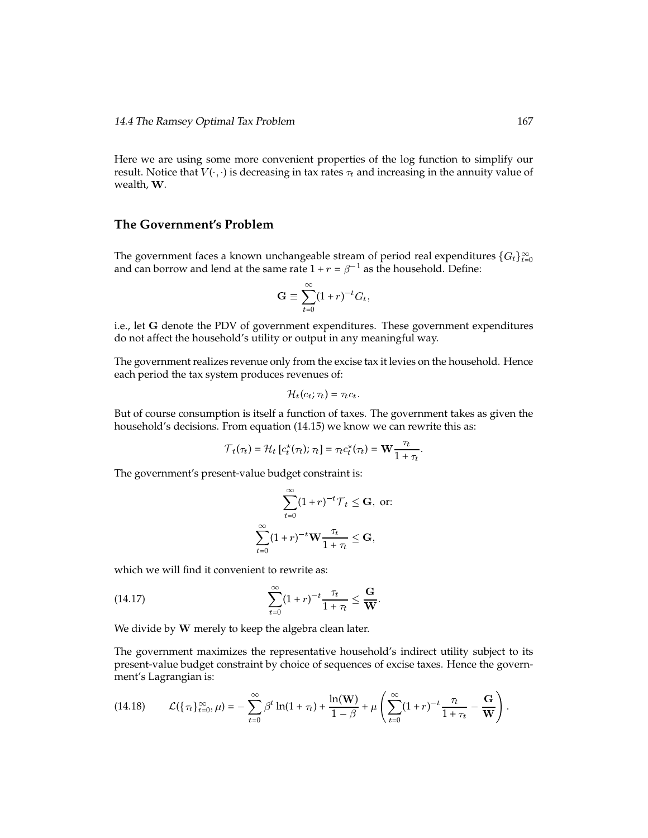Here we are using some more convenient properties of the log function to simplify our result. Notice that  $V(\cdot, \cdot)$  is decreasing in tax rates  $\tau_t$  and increasing in the annuity value of wealth, <sup>W</sup>.

#### **The Government's Problem**

The government faces a known unchangeable stream of period real expenditures  $\{G_t\}_{t=0}^\infty$ <br>and can borrow and lend at the same rate  $1+r=\beta^{-1}$  as the household. Define:

$$
\mathbf{G} \equiv \sum_{t=0}^{\infty} (1+r)^{-t} G_t,
$$

i.e., let <sup>G</sup> denote the PDV of government expenditures. These government expenditures do not affect the household's utility or output in any meaningful way.

The government realizes revenue only from the excise tax it levies on the household. Hence each period the tax system produces revenues of:

$$
\mathcal{H}_t(c_t;\tau_t)=\tau_t c_t.
$$

But of course consumption is itself a function of taxes. The government takes as given the household's decisions. From equation (14.15) we know we can rewrite this as:

$$
\mathcal{T}_t(\tau_t) = \mathcal{H}_t\left[c_t^*(\tau_t); \tau_t\right] = \tau_t c_t^*(\tau_t) = \mathbf{W} \frac{\tau_t}{1 + \tau_t}.
$$

The government's present-value budget constraint is:

$$
\sum_{t=0}^{\infty} (1+r)^{-t} \mathcal{T}_t \leq \mathbf{G}, \text{ or:}
$$

$$
\sum_{t=0}^{\infty} (1+r)^{-t} \mathbf{W} \frac{\tau_t}{1+\tau_t} \leq \mathbf{G},
$$

which we will find it convenient to rewrite as:

(14.17) 
$$
\sum_{t=0}^{\infty} (1+r)^{-t} \frac{\tau_t}{1+\tau_t} \leq \frac{G}{W}.
$$

We divide by W merely to keep the algebra clean later.

The government maximizes the representative household's indirect utility subject to its present-value budget constraint by choice of sequences of excise taxes. Hence the government's Lagrangian is:

$$
(14.18) \qquad \mathcal{L}(\{\tau_t\}_{t=0}^{\infty},\mu)=-\sum_{t=0}^{\infty}\beta^t\ln(1+\tau_t)+\frac{\ln(\mathbf{W})}{1-\beta}+\mu\left(\sum_{t=0}^{\infty}(1+r)^{-t}\frac{\tau_t}{1+\tau_t}-\frac{\mathbf{G}}{\mathbf{W}}\right).
$$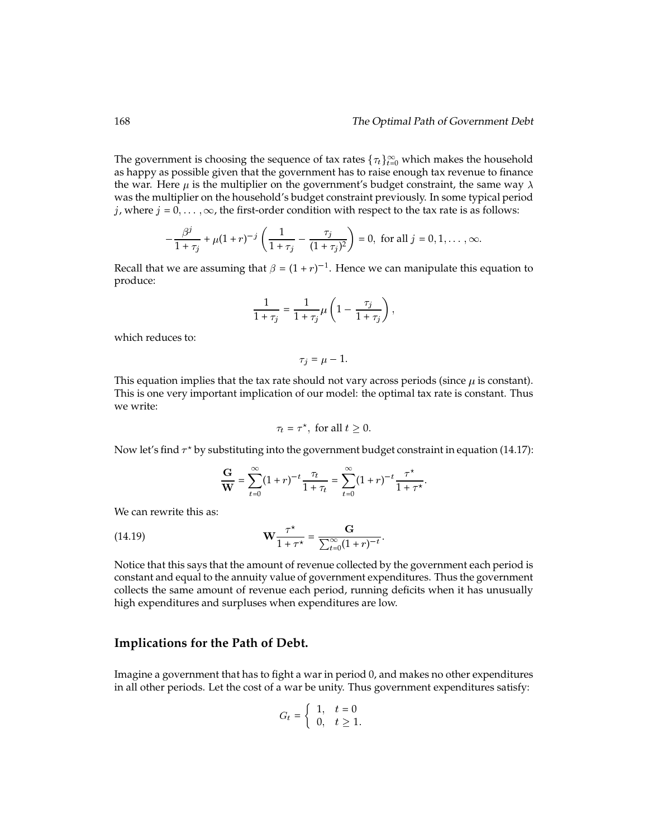The government is choosing the sequence of tax rates  $\{\tau_t\}_{t=0}^\infty$  which makes the household as happy as possible given that the government has to raise enough tax revenue to finance the war. Here  $\mu$  is the multiplier on the government's budget constraint, the same way  $\lambda$ was the multiplier on the household's budget constraint previously. In some typical period j, where  $j = 0, \ldots, \infty$ , the first-order condition with respect to the tax rate is as follows:

$$
-\frac{\beta^j}{1+\tau_j}+\mu(1+r)^{-j}\left(\frac{1}{1+\tau_j}-\frac{\tau_j}{(1+\tau_j)^2}\right)=0, \text{ for all } j=0,1,\ldots,\infty.
$$

Recall that we are assuming that  $\beta = (1 + r)^{-1}$ . Hence we can manipulate this equation to produce:

$$
\frac{1}{1+\tau_j} = \frac{1}{1+\tau_j} \mu \left(1 - \frac{\tau_j}{1+\tau_j}\right),\,
$$

which reduces to:

 $\tau_j = \mu - 1.$ 

This equation implies that the tax rate should not vary across periods (since  $\mu$  is constant). This is one very important implication of our model: the optimal tax rate is constant. Thus we write:

$$
\tau_t = \tau^\star, \text{ for all } t \ge 0.
$$

Now let's find  $\tau^\star$  by substituting into the government budget constraint in equation (14.17):

$$
\frac{G}{W} = \sum_{t=0}^{\infty} (1+r)^{-t} \frac{\tau_t}{1+\tau_t} = \sum_{t=0}^{\infty} (1+r)^{-t} \frac{\tau^*}{1+\tau^*}.
$$

We can rewrite this as:

(14.19) 
$$
\mathbf{W} \frac{\tau^*}{1 + \tau^*} = \frac{\mathbf{G}}{\sum_{t=0}^{\infty} (1 + r)^{-t}}.
$$

Notice that this says that the amount of revenue collected by the government each period is constant and equal to the annuity value of government expenditures. Thus the government collects the same amount of revenue each period, running deficits when it has unusually high expenditures and surpluses when expenditures are low.

#### **Implications for the Path of Debt.**

Imagine a government that has to fight a war in period 0, and makes no other expenditures in all other periods. Let the cost of a war be unity. Thus government expenditures satisfy:

$$
G_t = \left\{ \begin{array}{ll} 1, & t = 0 \\ 0, & t \ge 1. \end{array} \right.
$$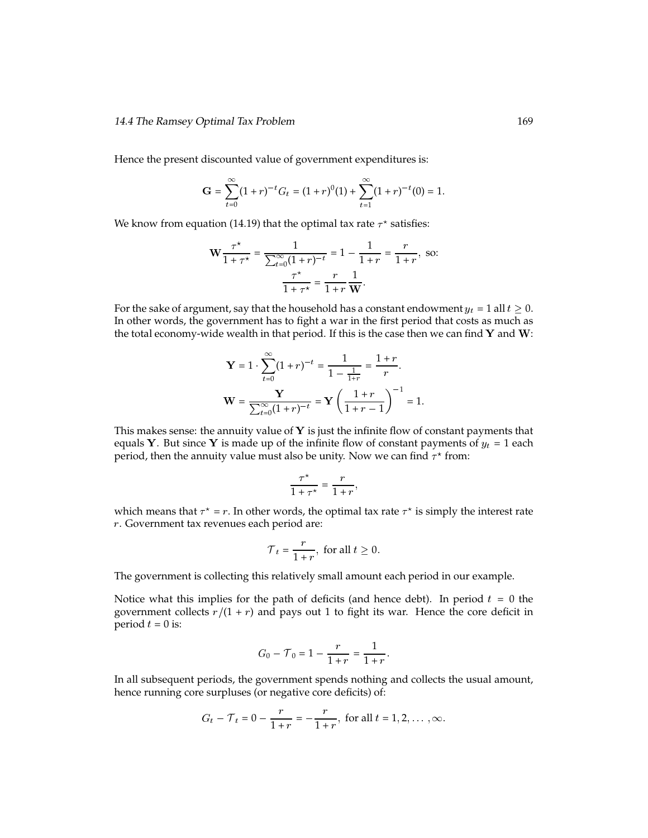Hence the present discounted value of government expenditures is:

$$
\mathbf{G} = \sum_{t=0}^{\infty} (1+r)^{-t} G_t = (1+r)^0 (1) + \sum_{t=1}^{\infty} (1+r)^{-t} (0) = 1.
$$

We know from equation (14.19) that the optimal tax rate  $\tau^\star$  satisfies:

$$
\mathbf{W} \frac{\tau^*}{1 + \tau^*} = \frac{1}{\sum_{t=0}^{\infty} (1 + r)^{-t}} = 1 - \frac{1}{1 + r} = \frac{r}{1 + r}, \text{ so:}
$$

$$
\frac{\tau^*}{1 + \tau^*} = \frac{r}{1 + r} \frac{1}{\mathbf{W}}.
$$

For the sake of argument, say that the household has a constant endowment  $y_t$  = 1 all  $t \geq 0.$ In other words, the government has to fight a war in the first period that costs as much as the total economy-wide wealth in that period. If this is the case then we can find  $Y$  and  $W$ :

$$
\mathbf{Y} = 1 \cdot \sum_{t=0}^{\infty} (1+r)^{-t} = \frac{1}{1 - \frac{1}{1+r}} = \frac{1+r}{r}.
$$

$$
\mathbf{W} = \frac{\mathbf{Y}}{\sum_{t=0}^{\infty} (1+r)^{-t}} = \mathbf{Y} \left(\frac{1+r}{1+r-1}\right)^{-1} = 1.
$$

This makes sense: the annuity value of  $Y$  is just the infinite flow of constant payments that equals Y. But since Y is made up of the infinite flow of constant payments of  $y_t = 1$  each period, then the annuity value must also be unity. Now we can find  $\tau^\star$  from:

$$
\frac{\tau^*}{1+\tau^*} = \frac{r}{1+r},
$$

which means that  $\tau^* = r$ . In other words, the optimal tax rate  $\tau^*$  is simply the interest rate <sup>r</sup>. Government tax revenues each period are:

$$
\mathcal{T}_t = \frac{r}{1+r}, \text{ for all } t \ge 0.
$$

The government is collecting this relatively small amount each period in our example.

Notice what this implies for the path of deficits (and hence debt). In period  $t = 0$  the government collects  $r/(1 + r)$  and pays out 1 to fight its war. Hence the core deficit in period  $t = 0$  is:

$$
G_0 - T_0 = 1 - \frac{r}{1+r} = \frac{1}{1+r}.
$$

 $G_0 - \mathcal{T}_0 = 1 - \frac{1}{1+r} = \frac{1}{1+r}$ .<br>In all subsequent periods, the government spends nothing and collects the usual amount, hence running core surpluses (or negative core deficits) of:

$$
G_t - \mathcal{T}_t = 0 - \frac{r}{1+r} = -\frac{r}{1+r}
$$
, for all  $t = 1, 2, ..., \infty$ .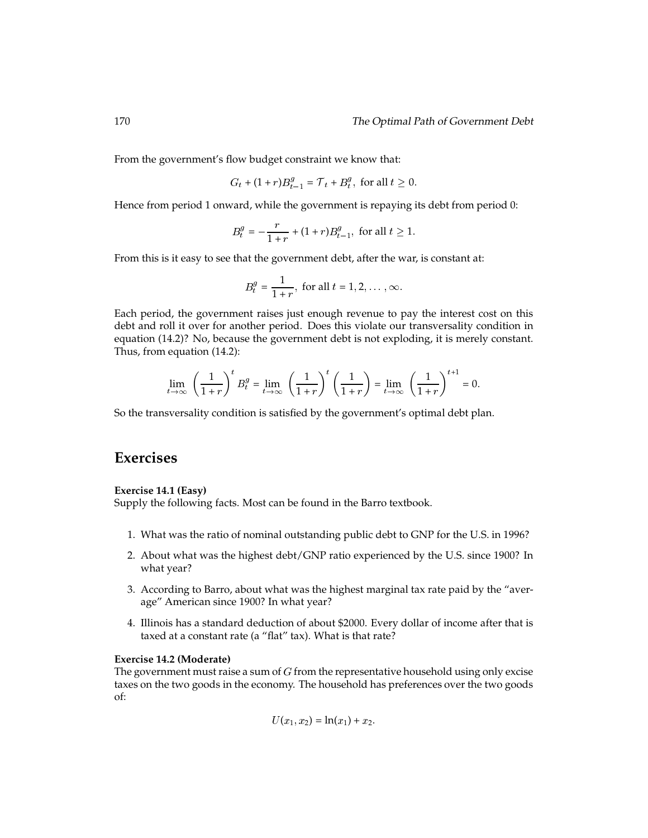From the government's flow budget constraint we know that:

$$
G_t + (1+r)B_{t-1}^g = \mathcal{T}_t + B_t^g
$$
, for all  $t \ge 0$ .

t

Hence from period 1 onward, while the government is repaying its debt from period 0:

$$
B_t^g = -\frac{r}{1+r} + (1+r)B_{t-1}^g, \text{ for all } t \ge 1.
$$

From this is it easy to see that the government debt, after the war, is constant at:

$$
B_t^g = \frac{1}{1+r}
$$
, for all  $t = 1, 2, ..., \infty$ .

Each period, the government raises just enough revenue to pay the interest cost on this debt and roll it over for another period. Does this violate our transversality condition in equation (14.2)? No, because the government debt is not exploding, it is merely constant. Thus, from equation (14.2):

$$
\lim_{t \to \infty} \left(\frac{1}{1+r}\right)^t B_t^g = \lim_{t \to \infty} \left(\frac{1}{1+r}\right)^t \left(\frac{1}{1+r}\right) = \lim_{t \to \infty} \left(\frac{1}{1+r}\right)^{t+1} = 0.
$$

So the transversality condition is satisfied by the government's optimal debt plan.

# **Exercises**

#### **Exercise 14.1 (Easy)**

Supply the following facts. Most can be found in the Barro textbook.

- 1. What was the ratio of nominal outstanding public debt to GNP for the U.S. in 1996?
- 2. About what was the highest debt/GNP ratio experienced by the U.S. since 1900? In what year?
- 3. According to Barro, about what was the highest marginal tax rate paid by the "average" American since 1900? In what year?
- 4. Illinois has a standard deduction of about \$2000. Every dollar of income after that is taxed at a constant rate (a "flat" tax). What is that rate?

#### **Exercise 14.2 (Moderate)**

The government must raise a sum of  $G$  from the representative household using only excise taxes on the two goods in the economy. The household has preferences over the two goods of:

$$
U(x_1, x_2) = \ln(x_1) + x_2.
$$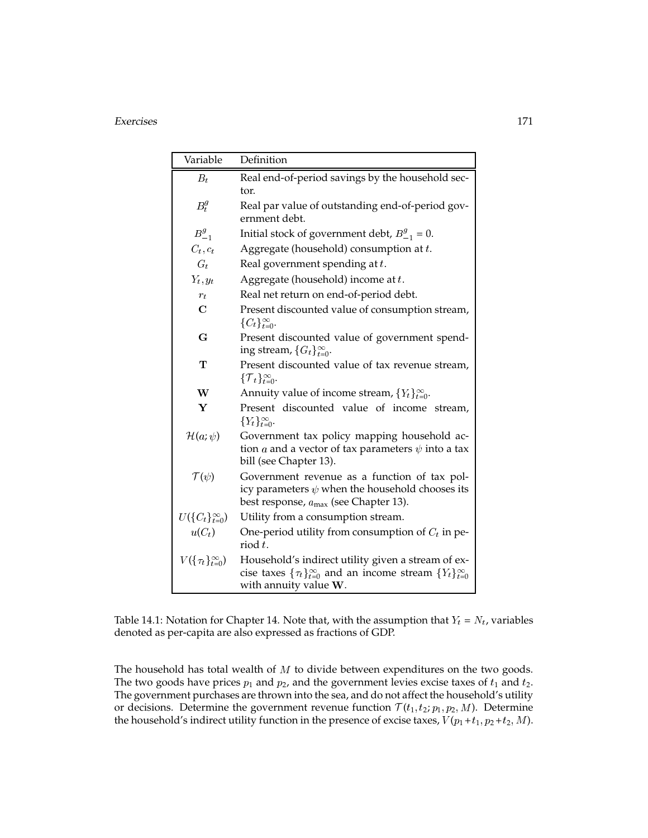#### Exercises 171

| Variable                                   | Definition                                                                                                                                                          |
|--------------------------------------------|---------------------------------------------------------------------------------------------------------------------------------------------------------------------|
| $B_t$                                      | Real end-of-period savings by the household sec-                                                                                                                    |
|                                            | tor.                                                                                                                                                                |
| $B_t^g$                                    | Real par value of outstanding end-of-period gov-<br>ernment debt.                                                                                                   |
| $B_{-1}^g$                                 | Initial stock of government debt, $B_{-1}^g = 0$ .                                                                                                                  |
| $C_t, c_t$                                 | Aggregate (household) consumption at t.                                                                                                                             |
| $G_t$                                      | Real government spending at t.                                                                                                                                      |
| $Y_t, y_t$                                 | Aggregate (household) income at t.                                                                                                                                  |
| $r_t$                                      | Real net return on end-of-period debt.                                                                                                                              |
| $\mathbf C$                                | Present discounted value of consumption stream,<br>${Ct}_{t=0}^{\infty}$ .                                                                                          |
| $\bf G$                                    | Present discounted value of government spend-                                                                                                                       |
|                                            | ing stream, $\{G_t\}_{t=0}^{\infty}$ .                                                                                                                              |
| т                                          | Present discounted value of tax revenue stream,<br>$\{\mathcal{T}_t\}_{t=0}^{\infty}$ .                                                                             |
| W                                          | Annuity value of income stream, ${Y_t}_{t=0}^{\infty}$ .                                                                                                            |
| Y                                          | Present discounted value of income stream,<br>${Y_t}_{t=0}^\infty$ .                                                                                                |
| $\mathcal{H}(a;\psi)$                      | Government tax policy mapping household ac-<br>tion $a$ and a vector of tax parameters $\psi$ into a tax<br>bill (see Chapter 13).                                  |
| $\mathcal{T}(\psi)$                        | Government revenue as a function of tax pol-<br>icy parameters $\psi$ when the household chooses its<br>best response, $a_{\text{max}}$ (see Chapter 13).           |
| $U({C_t}_{t=0}^{\infty})$                  | Utility from a consumption stream.                                                                                                                                  |
| $u(C_t)$                                   | One-period utility from consumption of $C_t$ in pe-<br>riod $t$ .                                                                                                   |
| $V(\lbrace \tau_t \rbrace_{t=0}^{\infty})$ | Household's indirect utility given a stream of ex-<br>cise taxes $\{\tau_t\}_{t=0}^{\infty}$ and an income stream $\{Y_t\}_{t=0}^{\infty}$<br>with annuity value W. |

Table 14.1: Notation for Chapter 14. Note that, with the assumption that  $Y_t = N_t$ , variables denoted as per-capita are also expressed as fractions of GDP.

The household has total wealth of  $M$  to divide between expenditures on the two goods. The two goods have prices  $p_1$  and  $p_2$ , and the government levies excise taxes of  $t_1$  and  $t_2$ . The government purchases are thrown into the sea, and do not affect the household's utility or decisions. Determine the government revenue function  $\mathcal{T}(t_1,t_2; p_1, p_2, M)$ . Determine the household's indirect utility function in the presence of excise taxes,  $V(p_1 + t_1, p_2 + t_2, M)$ .